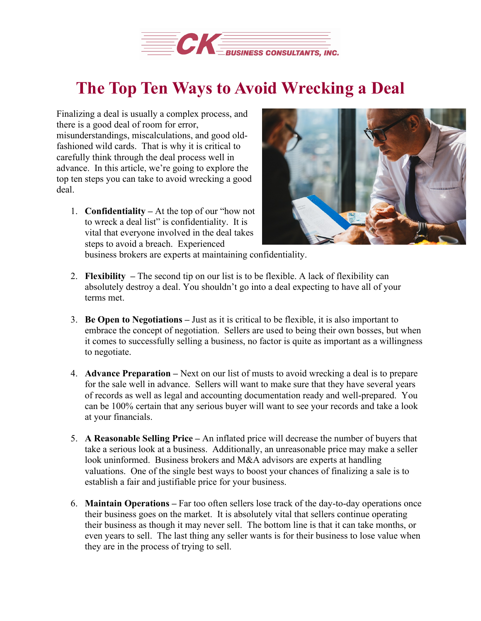

## **The Top Ten Ways to Avoid Wrecking a Deal**

Finalizing a deal is usually a complex process, and there is a good deal of room for error, misunderstandings, miscalculations, and good oldfashioned wild cards. That is why it is critical to carefully think through the deal process well in advance. In this article, we're going to explore the top ten steps you can take to avoid wrecking a good deal.

1. **Confidentiality –** At the top of our "how not to wreck a deal list" is confidentiality. It is vital that everyone involved in the deal takes steps to avoid a breach. Experienced



business brokers are experts at maintaining confidentiality.

- 2. **Flexibility –** The second tip on our list is to be flexible. A lack of flexibility can absolutely destroy a deal. You shouldn't go into a deal expecting to have all of your terms met.
- 3. **Be Open to Negotiations –** Just as it is critical to be flexible, it is also important to embrace the concept of negotiation. Sellers are used to being their own bosses, but when it comes to successfully selling a business, no factor is quite as important as a willingness to negotiate.
- 4. **Advance Preparation –** Next on our list of musts to avoid wrecking a deal is to prepare for the sale well in advance. Sellers will want to make sure that they have several years of records as well as legal and accounting documentation ready and well-prepared. You can be 100% certain that any serious buyer will want to see your records and take a look at your financials.
- 5. **A Reasonable Selling Price –** An inflated price will decrease the number of buyers that take a serious look at a business. Additionally, an unreasonable price may make a seller look uninformed. Business brokers and M&A advisors are experts at handling valuations. One of the single best ways to boost your chances of finalizing a sale is to establish a fair and justifiable price for your business.
- 6. **Maintain Operations –** Far too often sellers lose track of the day-to-day operations once their business goes on the market. It is absolutely vital that sellers continue operating their business as though it may never sell. The bottom line is that it can take months, or even years to sell. The last thing any seller wants is for their business to lose value when they are in the process of trying to sell.